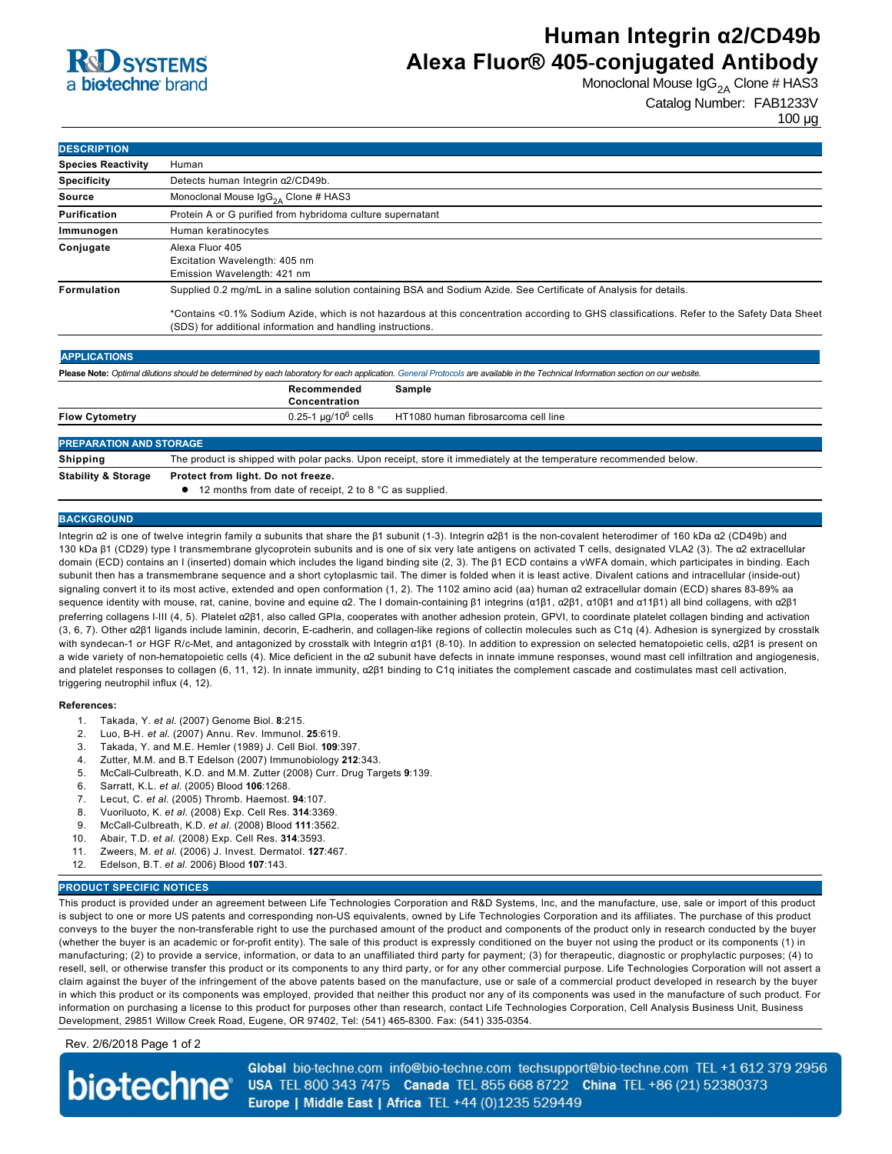### **R**d SYSTEMS a **biotechne** brand

## **Human Integrin α2/CD49b Alexa Fluor® 405-conjugated Antibody**

Monoclonal Mouse  $\text{lgG}_{2A}$  Clone # HAS3

Catalog Number: FAB1233V 100 µg

| <b>DESCRIPTION</b>        |                                                                                                                                                                                                            |                                                                                                                                                                                   |
|---------------------------|------------------------------------------------------------------------------------------------------------------------------------------------------------------------------------------------------------|-----------------------------------------------------------------------------------------------------------------------------------------------------------------------------------|
| <b>Species Reactivity</b> | Human                                                                                                                                                                                                      |                                                                                                                                                                                   |
| <b>Specificity</b>        | Detects human Integrin a2/CD49b.                                                                                                                                                                           |                                                                                                                                                                                   |
| <b>Source</b>             | Monoclonal Mouse $\text{lg}G_{2A}$ Clone # HAS3                                                                                                                                                            |                                                                                                                                                                                   |
| <b>Purification</b>       | Protein A or G purified from hybridoma culture supernatant                                                                                                                                                 |                                                                                                                                                                                   |
| Immunogen                 | Human keratinocytes                                                                                                                                                                                        |                                                                                                                                                                                   |
| Conjugate                 | Alexa Fluor 405<br>Excitation Wavelength: 405 nm<br>Emission Wavelength: 421 nm                                                                                                                            |                                                                                                                                                                                   |
| Formulation               | Supplied 0.2 mg/mL in a saline solution containing BSA and Sodium Azide. See Certificate of Analysis for details.                                                                                          |                                                                                                                                                                                   |
|                           | *Contains <0.1% Sodium Azide, which is not hazardous at this concentration according to GHS classifications. Refer to the Safety Data Sheet<br>(SDS) for additional information and handling instructions. |                                                                                                                                                                                   |
| <b>APPLICATIONS</b>       |                                                                                                                                                                                                            |                                                                                                                                                                                   |
|                           |                                                                                                                                                                                                            | Please Note: Optimal dilutions should be determined by each laboratory for each application. General Protocols are available in the Technical Information section on our website. |
|                           | Recommended<br>Concentration                                                                                                                                                                               | Sample                                                                                                                                                                            |
| <b>Flow Cytometry</b>     | $0.25 - 1 \mu q/10^6$ cells                                                                                                                                                                                | HT1080 human fibrosarcoma cell line                                                                                                                                               |

### **PREPARATION AND STORAGE Shipping** The product is shipped with polar packs. Upon receipt, store it immediately at the temperature recommended below **Stability & Storage Protect from light. Do not freeze.**  $\bullet$  12 months from date of receipt, 2 to 8 °C as supplied.

#### **BACKGROUND**

Integrin α2 is one of twelve integrin family α subunits that share the β1 subunit (1-3). Integrin α2β1 is the non-covalent heterodimer of 160 kDa α2 (CD49b) and 130 kDa β1 (CD29) type I transmembrane glycoprotein subunits and is one of six very late antigens on activated T cells, designated VLA2 (3). The α2 extracellular domain (ECD) contains an I (inserted) domain which includes the ligand binding site (2, 3). The β1 ECD contains a vWFA domain, which participates in binding. Each subunit then has a transmembrane sequence and a short cytoplasmic tail. The dimer is folded when it is least active. Divalent cations and intracellular (inside-out) signaling convert it to its most active, extended and open conformation (1, 2). The 1102 amino acid (aa) human α2 extracellular domain (ECD) shares 83-89% aa sequence identity with mouse, rat, canine, bovine and equine α2. The I domain-containing β1 integrins (α1β1, α2β1, α10β1 and α11β1) all bind collagens, with α2β1 preferring collagens I-III (4, 5). Platelet α2β1, also called GPIa, cooperates with another adhesion protein, GPVI, to coordinate platelet collagen binding and activation (3, 6, 7). Other α2β1 ligands include laminin, decorin, E-cadherin, and collagen-like regions of collectin molecules such as C1q (4). Adhesion is synergized by crosstalk with syndecan-1 or HGF R/c-Met, and antagonized by crosstalk with Integrin α1β1 (8-10). In addition to expression on selected hematopoietic cells, α2β1 is present on a wide variety of non-hematopoietic cells (4). Mice deficient in the a2 subunit have defects in innate immune responses, wound mast cell infiltration and angiogenesis, and platelet responses to collagen (6, 11, 12). In innate immunity, α2β1 binding to C1q initiates the complement cascade and costimulates mast cell activation, triggering neutrophil influx (4, 12).

#### **References:**

- 1. Takada, Y. *et al*. (2007) Genome Biol. **8**:215.
- 2. Luo, BH. *et al*. (2007) Annu. Rev. Immunol. **25**:619.
- 3. Takada, Y. and M.E. Hemler (1989) J. Cell Biol. **109**:397.
- 4. Zutter, M.M. and B.T Edelson (2007) Immunobiology **212**:343.
- 5. McCallCulbreath, K.D. and M.M. Zutter (2008) Curr. Drug Targets **9**:139.
- 6. Sarratt, K.L. *et al*. (2005) Blood **106**:1268.
- 7. Lecut, C. *et al*. (2005) Thromb. Haemost. **94**:107.
- 8. Vuoriluoto, K. *et al.* (2008) Exp. Cell Res. **314**:3369.
- 9. McCall-Culbreath, K.D. *et al.* (2008) Blood 111:3562.
- 10. Abair, T.D. *et al*. (2008) Exp. Cell Res. **314**:3593.
- 11. Zweers, M. *et al.* (2006) J. Invest. Dermatol. **127**:467.
- 12. Edelson, B.T. *et al*. 2006) Blood **107**:143.

#### **PRODUCT SPECIFIC NOTICES**

This product is provided under an agreement between Life Technologies Corporation and R&D Systems, Inc, and the manufacture, use, sale or import of this product is subject to one or more US patents and corresponding non-US equivalents, owned by Life Technologies Corporation and its affiliates. The purchase of this product conveys to the buyer the non-transferable right to use the purchased amount of the product and components of the product only in research conducted by the buyer (whether the buyer is an academic or for-profit entity). The sale of this product is expressly conditioned on the buyer not using the product or its components (1) in manufacturing; (2) to provide a service, information, or data to an unaffiliated third party for payment; (3) for therapeutic, diagnostic or prophylactic purposes; (4) to resell, sell, or otherwise transfer this product or its components to any third party, or for any other commercial purpose. Life Technologies Corporation will not assert a claim against the buyer of the infringement of the above patents based on the manufacture, use or sale of a commercial product developed in research by the buyer in which this product or its components was employed, provided that neither this product nor any of its components was used in the manufacture of such product. For information on purchasing a license to this product for purposes other than research, contact Life Technologies Corporation, Cell Analysis Business Unit, Business Development, 29851 Willow Creek Road, Eugene, OR 97402, Tel: (541) 465-8300. Fax: (541) 335-0354.

Rev. 2/6/2018 Page 1 of 2

**biotechne** 

Global bio-techne.com info@bio-techne.com techsupport@bio-techne.com TEL +1 612 379 2956 USA TEL 800 343 7475 Canada TEL 855 668 8722 China TEL +86 (21) 52380373 Europe | Middle East | Africa TEL +44 (0)1235 529449